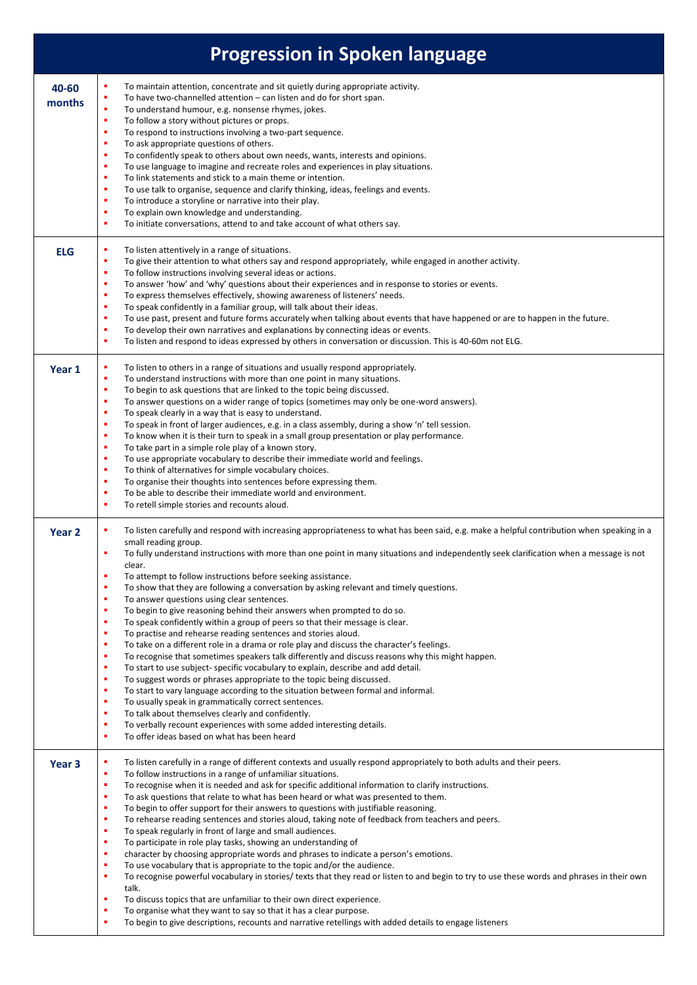| <b>Progression in Spoken language</b> |                                                                                                                                                                                                                                                                                                                                                                                                                                                                                                                                                                                                                                                                                                                                                                                                                                                                                                                                                                                                                                                                                                                                                                                                                                                                                                                                                                                                                                                                                                                                     |  |
|---------------------------------------|-------------------------------------------------------------------------------------------------------------------------------------------------------------------------------------------------------------------------------------------------------------------------------------------------------------------------------------------------------------------------------------------------------------------------------------------------------------------------------------------------------------------------------------------------------------------------------------------------------------------------------------------------------------------------------------------------------------------------------------------------------------------------------------------------------------------------------------------------------------------------------------------------------------------------------------------------------------------------------------------------------------------------------------------------------------------------------------------------------------------------------------------------------------------------------------------------------------------------------------------------------------------------------------------------------------------------------------------------------------------------------------------------------------------------------------------------------------------------------------------------------------------------------------|--|
| 40-60<br>months                       | To maintain attention, concentrate and sit quietly during appropriate activity.<br>٠<br>To have two-channelled attention – can listen and do for short span.<br>To understand humour, e.g. nonsense rhymes, jokes.<br>٠<br>٠<br>To follow a story without pictures or props.<br>٠<br>To respond to instructions involving a two-part sequence.<br>To ask appropriate questions of others.<br>٠<br>To confidently speak to others about own needs, wants, interests and opinions.<br>٠<br>To use language to imagine and recreate roles and experiences in play situations.<br>٠<br>To link statements and stick to a main theme or intention.<br>٠<br>To use talk to organise, sequence and clarify thinking, ideas, feelings and events.<br>٠<br>To introduce a storyline or narrative into their play.<br>٠<br>٠<br>To explain own knowledge and understanding.<br>To initiate conversations, attend to and take account of what others say.<br>٠                                                                                                                                                                                                                                                                                                                                                                                                                                                                                                                                                                                 |  |
| <b>ELG</b>                            | To listen attentively in a range of situations.<br>٠<br>To give their attention to what others say and respond appropriately, while engaged in another activity.<br>٠<br>To follow instructions involving several ideas or actions.<br>٠<br>To answer 'how' and 'why' questions about their experiences and in response to stories or events.<br>٠<br>To express themselves effectively, showing awareness of listeners' needs.<br>٠<br>To speak confidently in a familiar group, will talk about their ideas.<br>٠<br>To use past, present and future forms accurately when talking about events that have happened or are to happen in the future.<br>٠<br>To develop their own narratives and explanations by connecting ideas or events.<br>п<br>To listen and respond to ideas expressed by others in conversation or discussion. This is 40-60m not ELG.<br>٠                                                                                                                                                                                                                                                                                                                                                                                                                                                                                                                                                                                                                                                                 |  |
| Year 1                                | To listen to others in a range of situations and usually respond appropriately.<br>To understand instructions with more than one point in many situations.<br>٠<br>To begin to ask questions that are linked to the topic being discussed.<br>٠<br>To answer questions on a wider range of topics (sometimes may only be one-word answers).<br>To speak clearly in a way that is easy to understand.<br>٠<br>To speak in front of larger audiences, e.g. in a class assembly, during a show 'n' tell session.<br>٠<br>To know when it is their turn to speak in a small group presentation or play performance.<br>٠<br>To take part in a simple role play of a known story.<br>٠<br>To use appropriate vocabulary to describe their immediate world and feelings.<br>٠<br>To think of alternatives for simple vocabulary choices.<br>To organise their thoughts into sentences before expressing them.<br>٠<br>To be able to describe their immediate world and environment.<br>٠<br>٠<br>To retell simple stories and recounts aloud.                                                                                                                                                                                                                                                                                                                                                                                                                                                                                             |  |
| Year <sub>2</sub>                     | To listen carefully and respond with increasing appropriateness to what has been said, e.g. make a helpful contribution when speaking in a<br>small reading group.<br>To fully understand instructions with more than one point in many situations and independently seek clarification when a message is not<br>٠<br>clear.<br>٠<br>To attempt to follow instructions before seeking assistance.<br>٠<br>To show that they are following a conversation by asking relevant and timely questions.<br>To answer questions using clear sentences.<br>٠<br>To begin to give reasoning behind their answers when prompted to do so.<br>п<br>To speak confidently within a group of peers so that their message is clear.<br>٠<br>To practise and rehearse reading sentences and stories aloud.<br>٠<br>To take on a different role in a drama or role play and discuss the character's feelings.<br>٠<br>To recognise that sometimes speakers talk differently and discuss reasons why this might happen.<br>٠<br>To start to use subject-specific vocabulary to explain, describe and add detail.<br>٠<br>٠<br>To suggest words or phrases appropriate to the topic being discussed.<br>To start to vary language according to the situation between formal and informal.<br>٠<br>To usually speak in grammatically correct sentences.<br>п<br>To talk about themselves clearly and confidently.<br>٠<br>To verbally recount experiences with some added interesting details.<br>٠<br>To offer ideas based on what has been heard<br>٠ |  |
| Year <sub>3</sub>                     | To listen carefully in a range of different contexts and usually respond appropriately to both adults and their peers.<br>٠<br>To follow instructions in a range of unfamiliar situations.<br>٠<br>To recognise when it is needed and ask for specific additional information to clarify instructions.<br>٠<br>To ask questions that relate to what has been heard or what was presented to them.<br>٠<br>To begin to offer support for their answers to questions with justifiable reasoning.<br>٠<br>٠<br>To rehearse reading sentences and stories aloud, taking note of feedback from teachers and peers.<br>To speak regularly in front of large and small audiences.<br>٠<br>To participate in role play tasks, showing an understanding of<br>٠<br>character by choosing appropriate words and phrases to indicate a person's emotions.<br>٠<br>To use vocabulary that is appropriate to the topic and/or the audience.<br>٠<br>To recognise powerful vocabulary in stories/ texts that they read or listen to and begin to try to use these words and phrases in their own<br>٠<br>talk.<br>To discuss topics that are unfamiliar to their own direct experience.<br>٠<br>To organise what they want to say so that it has a clear purpose.<br>٠<br>To begin to give descriptions, recounts and narrative retellings with added details to engage listeners                                                                                                                                                                 |  |